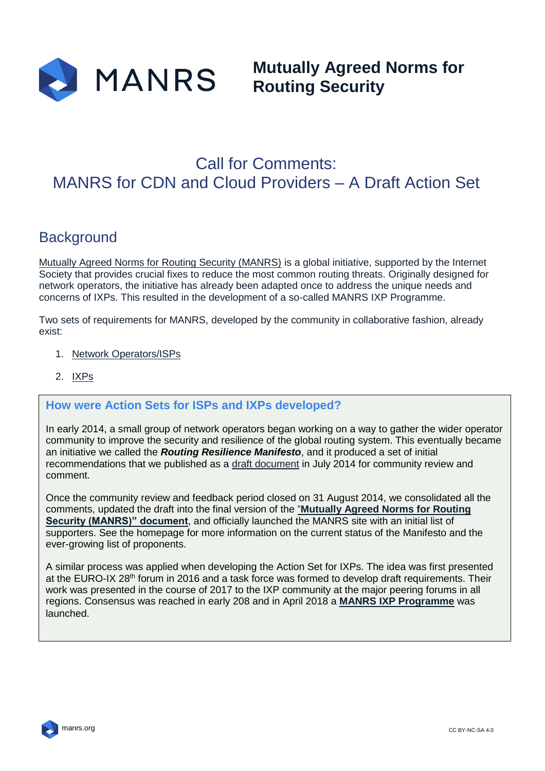

**Mutually Agreed Norms for Routing Security**

# Call for Comments: MANRS for CDN and Cloud Providers – A Draft Action Set

# **Background**

[Mutually Agreed Norms for Routing Security \(MANRS\)](https://www.manrs.org/) is a global initiative, supported by the Internet Society that provides crucial fixes to reduce the most common routing threats. Originally designed for network operators, the initiative has already been adapted once to address the unique needs and concerns of IXPs. This resulted in the development of a so-called MANRS IXP Programme.

Two sets of requirements for MANRS, developed by the community in collaborative fashion, already exist:

- 1. [Network Operators/ISPs](https://www.manrs.org/isps/manrs-actions-for-network-operators/)
- 2. [IXPs](1.%09https:/www.manrs.org/ixps/manrs-actions-for-ixps)

#### **How were Action Sets for ISPs and IXPs developed?**

In early 2014, a small group of network operators began working on a way to gather the wider operator community to improve the security and resilience of the global routing system. This eventually became an initiative we called the *Routing Resilience Manifesto*, and it produced a set of initial recommendations that we published as a [draft document](https://www.manrs.org/draft1/) in July 2014 for community review and comment.

Once the community review and feedback period closed on 31 August 2014, we consolidated all the comments, updated the draft into the final version of the "**[Mutually Agreed Norms for Routing](https://www.manrs.org/manrs/)  [Security \(MANRS\)" document](https://www.manrs.org/manrs/)**, and officially launched the MANRS site with an initial list of supporters. See the homepage for more information on the current status of the Manifesto and the ever-growing list of proponents.

A similar process was applied when developing the Action Set for IXPs. The idea was first presented at the EURO-IX 28<sup>th</sup> forum in 2016 and a task force was formed to develop draft requirements. Their work was presented in the course of 2017 to the IXP community at the major peering forums in all regions. Consensus was reached in early 208 and in April 2018 a **[MANRS IXP Programme](https://www.manrs.org/ixps/)** was launched.

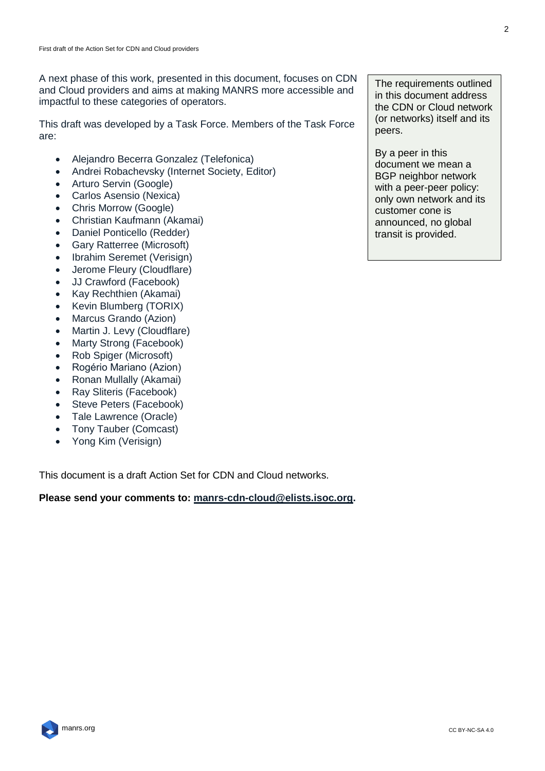A next phase of this work, presented in this document, focuses on CDN and Cloud providers and aims at making MANRS more accessible and impactful to these categories of operators.

This draft was developed by a Task Force. Members of the Task Force are:

- Alejandro Becerra Gonzalez (Telefonica)
- Andrei Robachevsky (Internet Society, Editor)
- Arturo Servin (Google)
- Carlos Asensio (Nexica)
- Chris Morrow (Google)
- Christian Kaufmann (Akamai)
- Daniel Ponticello (Redder)
- Gary Ratterree (Microsoft)
- Ibrahim Seremet (Verisign)
- Jerome Fleury (Cloudflare)
- JJ Crawford (Facebook)
- Kay Rechthien (Akamai)
- Kevin Blumberg (TORIX)
- Marcus Grando (Azion)
- Martin J. Levy (Cloudflare)
- Marty Strong (Facebook)
- Rob Spiger (Microsoft)
- Rogério Mariano (Azion)
- Ronan Mullally (Akamai)
- Ray Sliteris (Facebook)
- Steve Peters (Facebook)
- Tale Lawrence (Oracle)
- Tony Tauber (Comcast)
- Yong Kim (Verisign)

This document is a draft Action Set for CDN and Cloud networks.

#### **Please send your comments to: [manrs-cdn-cloud@elists.isoc.org.](mailto:manrs-cdn-cloud@elists.isoc.org)**

The requirements outlined in this document address the CDN or Cloud network (or networks) itself and its peers.

By a peer in this document we mean a BGP neighbor network with a peer-peer policy: only own network and its customer cone is announced, no global transit is provided.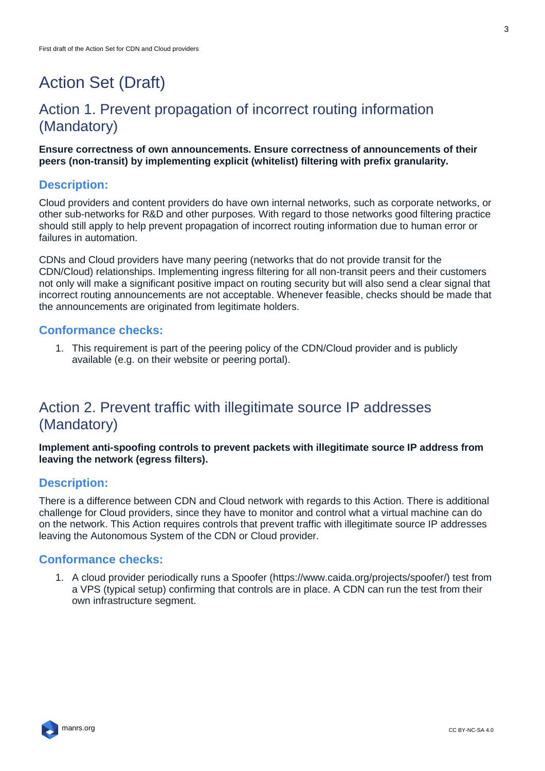# Action Set (Draft)

# Action 1. Prevent propagation of incorrect routing information (Mandatory)

**Ensure correctness of own announcements. Ensure correctness of announcements of their peers (non-transit) by implementing explicit (whitelist) filtering with prefix granularity.** 

#### **Description:**

Cloud providers and content providers do have own internal networks, such as corporate networks, or other sub-networks for R&D and other purposes. With regard to those networks good filtering practice should still apply to help prevent propagation of incorrect routing information due to human error or failures in automation.

CDNs and Cloud providers have many peering (networks that do not provide transit for the CDN/Cloud) relationships. Implementing ingress filtering for all non-transit peers and their customers not only will make a significant positive impact on routing security but will also send a clear signal that incorrect routing announcements are not acceptable. Whenever feasible, checks should be made that the announcements are originated from legitimate holders.

#### **Conformance checks:**

1. This requirement is part of the peering policy of the CDN/Cloud provider and is publicly available (e.g. on their website or peering portal).

# Action 2. Prevent traffic with illegitimate source IP addresses (Mandatory)

**Implement anti-spoofing controls to prevent packets with illegitimate source IP address from leaving the network (egress filters).**

#### **Description:**

There is a difference between CDN and Cloud network with regards to this Action. There is additional challenge for Cloud providers, since they have to monitor and control what a virtual machine can do on the network. This Action requires controls that prevent traffic with illegitimate source IP addresses leaving the Autonomous System of the CDN or Cloud provider.

#### **Conformance checks:**

1. A cloud provider periodically runs a Spoofer (https://www.caida.org/projects/spoofer/) test from a VPS (typical setup) confirming that controls are in place. A CDN can run the test from their own infrastructure segment.

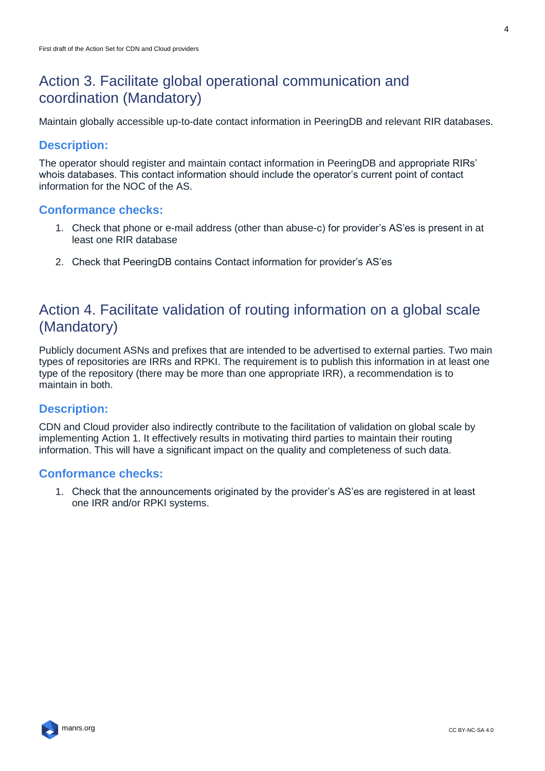### Action 3. Facilitate global operational communication and coordination (Mandatory)

Maintain globally accessible up-to-date contact information in PeeringDB and relevant RIR databases.

#### **Description:**

The operator should register and maintain contact information in PeeringDB and appropriate RIRs' whois databases. This contact information should include the operator's current point of contact information for the NOC of the AS.

#### **Conformance checks:**

- 1. Check that phone or e-mail address (other than abuse-c) for provider's AS'es is present in at least one RIR database
- 2. Check that PeeringDB contains Contact information for provider's AS'es

### Action 4. Facilitate validation of routing information on a global scale (Mandatory)

Publicly document ASNs and prefixes that are intended to be advertised to external parties. Two main types of repositories are IRRs and RPKI. The requirement is to publish this information in at least one type of the repository (there may be more than one appropriate IRR), a recommendation is to maintain in both.

#### **Description:**

CDN and Cloud provider also indirectly contribute to the facilitation of validation on global scale by implementing Action 1. It effectively results in motivating third parties to maintain their routing information. This will have a significant impact on the quality and completeness of such data.

#### **Conformance checks:**

1. Check that the announcements originated by the provider's AS'es are registered in at least one IRR and/or RPKI systems.

4